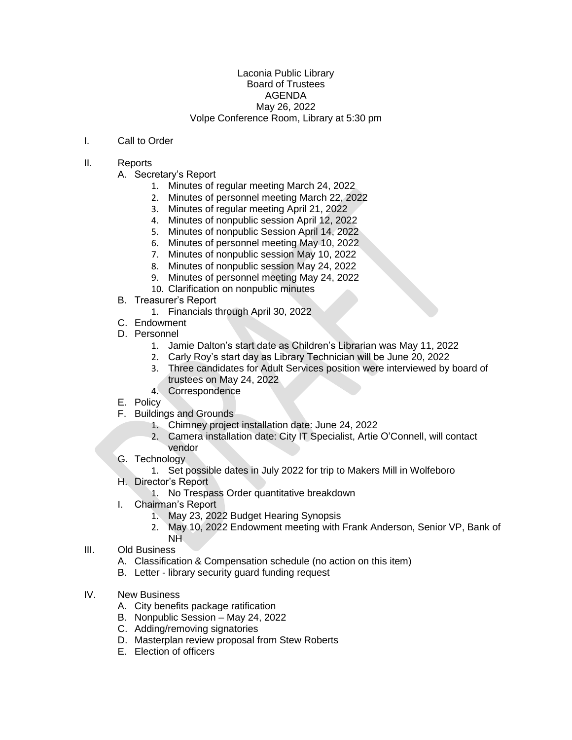## Laconia Public Library Board of Trustees AGENDA May 26, 2022 Volpe Conference Room, Library at 5:30 pm

## I. Call to Order

## II. Reports

- A. Secretary's Report
	- 1. Minutes of regular meeting March 24, 2022
	- 2. Minutes of personnel meeting March 22, 2022
	- 3. Minutes of regular meeting April 21, 2022
	- 4. Minutes of nonpublic session April 12, 2022
	- 5. Minutes of nonpublic Session April 14, 2022
	- 6. Minutes of personnel meeting May 10, 2022
	- 7. Minutes of nonpublic session May 10, 2022
	- 8. Minutes of nonpublic session May 24, 2022
	- 9. Minutes of personnel meeting May 24, 2022
	- 10. Clarification on nonpublic minutes
- B. Treasurer's Report
	- 1. Financials through April 30, 2022
- C. Endowment
- D. Personnel
	- 1. Jamie Dalton's start date as Children's Librarian was May 11, 2022
	- 2. Carly Roy's start day as Library Technician will be June 20, 2022
	- 3. Three candidates for Adult Services position were interviewed by board of trustees on May 24, 2022
	- 4. Correspondence
- E. Policy
- F. Buildings and Grounds
	- 1. Chimney project installation date: June 24, 2022
	- 2. Camera installation date: City IT Specialist, Artie O'Connell, will contact vendor
- G. Technology
	- 1. Set possible dates in July 2022 for trip to Makers Mill in Wolfeboro
- H. Director's Report
	- 1. No Trespass Order quantitative breakdown
- I. Chairman's Report

NH

- 1. May 23, 2022 Budget Hearing Synopsis
- 2. May 10, 2022 Endowment meeting with Frank Anderson, Senior VP, Bank of
- III. Old Business
	- A. Classification & Compensation schedule (no action on this item)
	- B. Letter library security guard funding request
- IV. New Business
	- A. City benefits package ratification
	- B. Nonpublic Session May 24, 2022
	- C. Adding/removing signatories
	- D. Masterplan review proposal from Stew Roberts
	- E. Election of officers